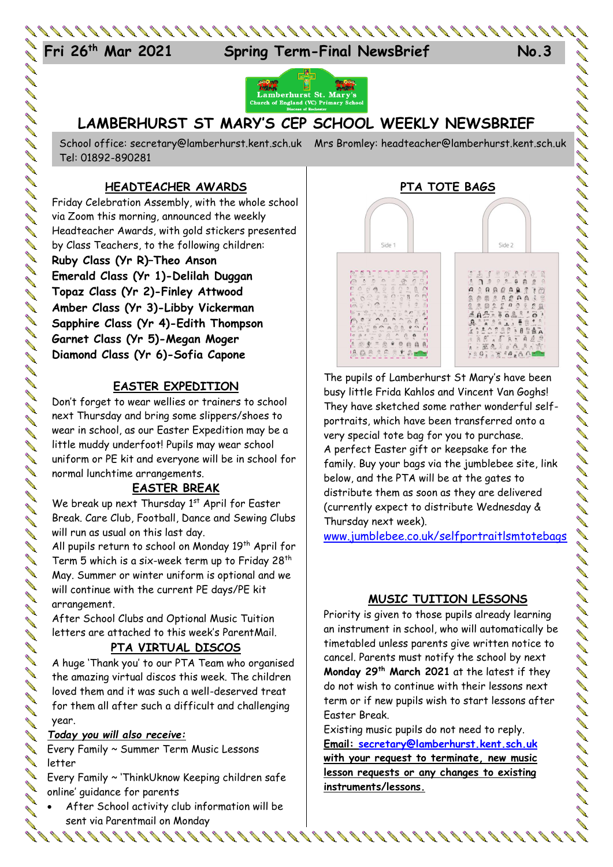

**Spring Term-Final NewsBrief No.3** 



# **LAMBERHURST ST MARY'S CEP SCHOOL WEEKLY NEWSBRIEF**

School office: [secretary@lamberhurst.kent.sch.uk](mailto:secretary@lamberhurst.kent.sch.uk) Mrs Bromley: headteacher@lamberhurst.kent.sch.uk Tel: 01892-890281

## **HEADTEACHER AWARDS**

Friday Celebration Assembly, with the whole school via Zoom this morning, announced the weekly Headteacher Awards, with gold stickers presented by Class Teachers, to the following children:

**Ruby Class (Yr R)–Theo Anson Emerald Class (Yr 1)-Delilah Duggan Topaz Class (Yr 2)-Finley Attwood Amber Class (Yr 3)-Libby Vickerman Sapphire Class (Yr 4)-Edith Thompson Garnet Class (Yr 5)-Megan Moger Diamond Class (Yr 6)-Sofia Capone**

## **EASTER EXPEDITION**

Don't forget to wear wellies or trainers to school next Thursday and bring some slippers/shoes to wear in school, as our Easter Expedition may be a little muddy underfoot! Pupils may wear school uniform or PE kit and everyone will be in school for normal lunchtime arrangements.

# **EASTER BREAK**

We break up next Thursday 1<sup>st</sup> April for Easter Break. Care Club, Football, Dance and Sewing Clubs will run as usual on this last day.

All pupils return to school on Monday 19<sup>th</sup> April for Term 5 which is a six-week term up to Friday 28th May. Summer or winter uniform is optional and we will continue with the current PE days/PE kit arrangement.

After School Clubs and Optional Music Tuition letters are attached to this week's ParentMail.

## **PTA VIRTUAL DISCOS**

A huge 'Thank you' to our PTA Team who organised the amazing virtual discos this week. The children loved them and it was such a well-deserved treat for them all after such a difficult and challenging year.

#### *Today you will also receive:*

Every Family ~ Summer Term Music Lessons letter

Every Family ~ 'ThinkUknow Keeping children safe online' guidance for parents

 After School activity club information will be sent via Parentmail on Monday



The pupils of Lamberhurst St Mary's have been busy little Frida Kahlos and Vincent Van Goghs! They have sketched some rather wonderful selfportraits, which have been transferred onto a very special tote bag for you to purchase. A perfect Easter gift or keepsake for the family. Buy your bags via the jumblebee site, link below, and the PTA will be at the gates to distribute them as soon as they are delivered (currently expect to distribute Wednesday & Thursday next week).

じょくりょう リカリ リコ リコ じょう コーリ カイ リーリー コー リーリー しんじょう しんしゅう しんしょう しんしょう じょう しょう

[www.jumblebee.co.uk/selfportraitlsmtotebags](http://www.jumblebee.co.uk/selfportraitlsmtotebags)

## **MUSIC TUITION LESSONS**

Priority is given to those pupils already learning an instrument in school, who will automatically be timetabled unless parents give written notice to cancel. Parents must notify the school by next **Monday 29th March 2021** at the latest if they do not wish to continue with their lessons next term or if new pupils wish to start lessons after Easter Break.

Existing music pupils do not need to reply. **Email: [secretary@lamberhurst.kent.sch.uk](mailto:secretary@lamberhurst.kent.sch.uk) with your request to terminate, new music lesson requests or any changes to existing instruments/lessons.**